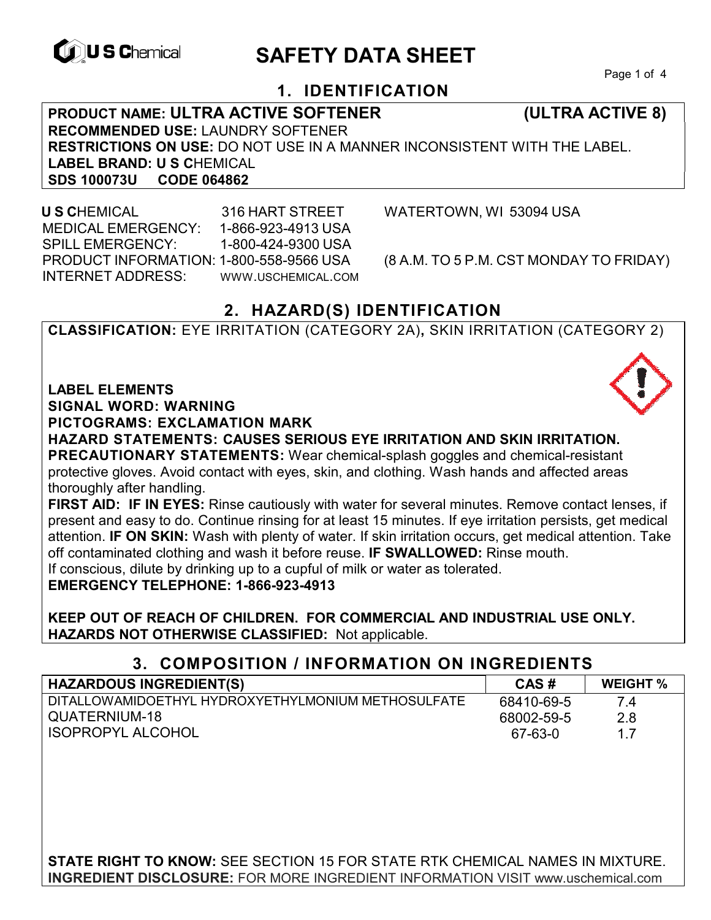

# **CONSCHIEF CONTROLS ARE SAFETY DATA SHEET**

Page 1 of 4

### **1. IDENTIFICATION**

**PRODUCT NAME: ULTRA ACTIVE SOFTENER (ULTRA ACTIVE 8) RECOMMENDED USE:** LAUNDRY SOFTENER **RESTRICTIONS ON USE:** DO NOT USE IN A MANNER INCONSISTENT WITH THE LABEL. LABEL BRAND: U S CHEMICAL<br>SDS 100073U CODE 064862 **SDS 100073U** 

 **U S C**HEMICAL 316 HART STREET WATERTOWN, WI 53094 USA MEDICAL EMERGENCY: 1-866-923-4913 USA SPILL EMERGENCY: 1-800-424-9300 USA PRODUCT INFORMATION: 1-800-558-9566 USA (8 A.M. TO 5 P.M. CST MONDAY TO FRIDAY) INTERNET ADDRESS: WWW.USCHEMICAL.COM

### **2. HAZARD(S) IDENTIFICATION**

**CLASSIFICATION:** EYE IRRITATION (CATEGORY 2A)**,** SKIN IRRITATION (CATEGORY 2)

**LABEL ELEMENTS** 

**SIGNAL WORD: WARNING**

**PICTOGRAMS: EXCLAMATION MARK**

**HAZARD STATEMENTS: CAUSES SERIOUS EYE IRRITATION AND SKIN IRRITATION. PRECAUTIONARY STATEMENTS:** Wear chemical-splash goggles and chemical-resistant protective gloves. Avoid contact with eyes, skin, and clothing. Wash hands and affected areas thoroughly after handling.

**FIRST AID: IF IN EYES:** Rinse cautiously with water for several minutes. Remove contact lenses, if present and easy to do. Continue rinsing for at least 15 minutes. If eye irritation persists, get medical attention. **IF ON SKIN:** Wash with plenty of water. If skin irritation occurs, get medical attention. Take off contaminated clothing and wash it before reuse. **IF SWALLOWED:** Rinse mouth. If conscious, dilute by drinking up to a cupful of milk or water as tolerated.

**EMERGENCY TELEPHONE: 1-866-923-4913** 

**KEEP OUT OF REACH OF CHILDREN. FOR COMMERCIAL AND INDUSTRIAL USE ONLY. HAZARDS NOT OTHERWISE CLASSIFIED:** Not applicable.

### **3. COMPOSITION / INFORMATION ON INGREDIENTS**

| <b>HAZARDOUS INGREDIENT(S)</b>                     | CAS#       | <b>WEIGHT %</b> |
|----------------------------------------------------|------------|-----------------|
| DITALLOWAMIDOETHYL HYDROXYETHYLMONIUM METHOSULFATE | 68410-69-5 | 74              |
| QUATERNIUM-18                                      | 68002-59-5 | 2.8             |
| <b>ISOPROPYL ALCOHOL</b>                           | 67-63-0    |                 |

**STATE RIGHT TO KNOW:** SEE SECTION 15 FOR STATE RTK CHEMICAL NAMES IN MIXTURE. **INGREDIENT DISCLOSURE:** FOR MORE INGREDIENT INFORMATION VISIT www.uschemical.com

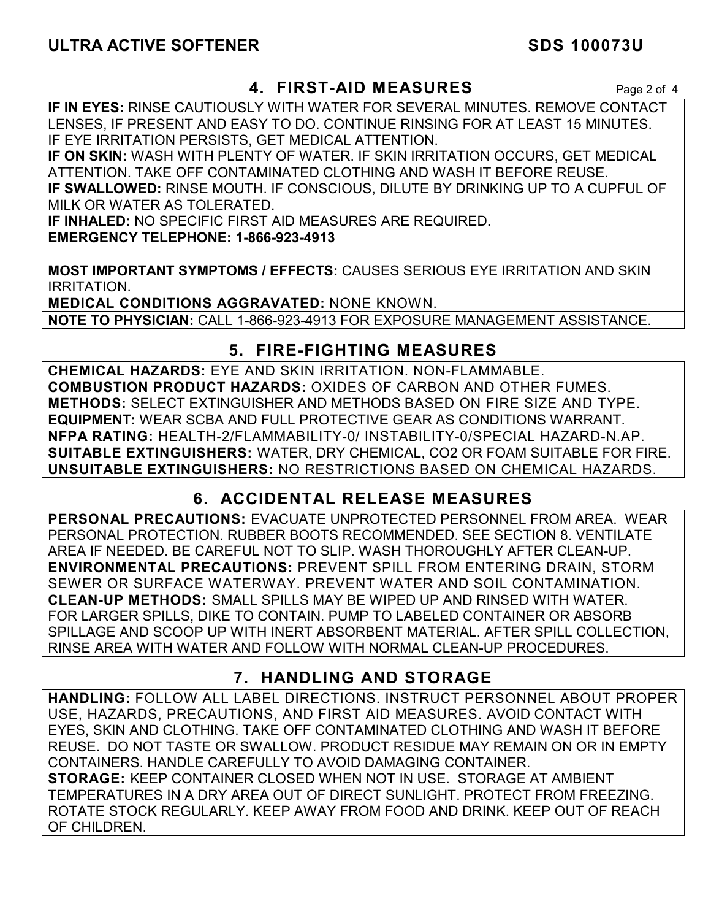### **4. FIRST-AID MEASURES** Page 2 of 4

**IF IN EYES:** RINSE CAUTIOUSLY WITH WATER FOR SEVERAL MINUTES. REMOVE CONTACT LENSES, IF PRESENT AND EASY TO DO. CONTINUE RINSING FOR AT LEAST 15 MINUTES. IF EYE IRRITATION PERSISTS, GET MEDICAL ATTENTION.

**IF ON SKIN:** WASH WITH PLENTY OF WATER. IF SKIN IRRITATION OCCURS, GET MEDICAL ATTENTION. TAKE OFF CONTAMINATED CLOTHING AND WASH IT BEFORE REUSE. **IF SWALLOWED:** RINSE MOUTH. IF CONSCIOUS, DILUTE BY DRINKING UP TO A CUPFUL OF MILK OR WATER AS TOLERATED.

**IF INHALED:** NO SPECIFIC FIRST AID MEASURES ARE REQUIRED. **EMERGENCY TELEPHONE: 1-866-923-4913** 

**MOST IMPORTANT SYMPTOMS / EFFECTS:** CAUSES SERIOUS EYE IRRITATION AND SKIN IRRITATION.

**MEDICAL CONDITIONS AGGRAVATED:** NONE KNOWN. **NOTE TO PHYSICIAN:** CALL 1-866-923-4913 FOR EXPOSURE MANAGEMENT ASSISTANCE.

### **5. FIRE-FIGHTING MEASURES**

**CHEMICAL HAZARDS:** EYE AND SKIN IRRITATION. NON-FLAMMABLE. **COMBUSTION PRODUCT HAZARDS:** OXIDES OF CARBON AND OTHER FUMES. **METHODS:** SELECT EXTINGUISHER AND METHODS BASED ON FIRE SIZE AND TYPE. **EQUIPMENT:** WEAR SCBA AND FULL PROTECTIVE GEAR AS CONDITIONS WARRANT. **NFPA RATING:** HEALTH-2/FLAMMABILITY-0/ INSTABILITY-0/SPECIAL HAZARD-N.AP. **SUITABLE EXTINGUISHERS:** WATER, DRY CHEMICAL, CO2 OR FOAM SUITABLE FOR FIRE. **UNSUITABLE EXTINGUISHERS:** NO RESTRICTIONS BASED ON CHEMICAL HAZARDS.

## **6. ACCIDENTAL RELEASE MEASURES**

**PERSONAL PRECAUTIONS:** EVACUATE UNPROTECTED PERSONNEL FROM AREA. WEAR PERSONAL PROTECTION. RUBBER BOOTS RECOMMENDED. SEE SECTION 8. VENTILATE AREA IF NEEDED. BE CAREFUL NOT TO SLIP. WASH THOROUGHLY AFTER CLEAN-UP. **ENVIRONMENTAL PRECAUTIONS:** PREVENT SPILL FROM ENTERING DRAIN, STORM SEWER OR SURFACE WATERWAY. PREVENT WATER AND SOIL CONTAMINATION. **CLEAN-UP METHODS:** SMALL SPILLS MAY BE WIPED UP AND RINSED WITH WATER. FOR LARGER SPILLS, DIKE TO CONTAIN. PUMP TO LABELED CONTAINER OR ABSORB SPILLAGE AND SCOOP UP WITH INERT ABSORBENT MATERIAL. AFTER SPILL COLLECTION, RINSE AREA WITH WATER AND FOLLOW WITH NORMAL CLEAN-UP PROCEDURES.

### **7. HANDLING AND STORAGE**

**HANDLING:** FOLLOW ALL LABEL DIRECTIONS. INSTRUCT PERSONNEL ABOUT PROPER USE, HAZARDS, PRECAUTIONS, AND FIRST AID MEASURES. AVOID CONTACT WITH EYES, SKIN AND CLOTHING. TAKE OFF CONTAMINATED CLOTHING AND WASH IT BEFORE REUSE. DO NOT TASTE OR SWALLOW. PRODUCT RESIDUE MAY REMAIN ON OR IN EMPTY CONTAINERS. HANDLE CAREFULLY TO AVOID DAMAGING CONTAINER. **STORAGE:** KEEP CONTAINER CLOSED WHEN NOT IN USE. STORAGE AT AMBIENT TEMPERATURES IN A DRY AREA OUT OF DIRECT SUNLIGHT. PROTECT FROM FREEZING. ROTATE STOCK REGULARLY. KEEP AWAY FROM FOOD AND DRINK. KEEP OUT OF REACH OF CHILDREN.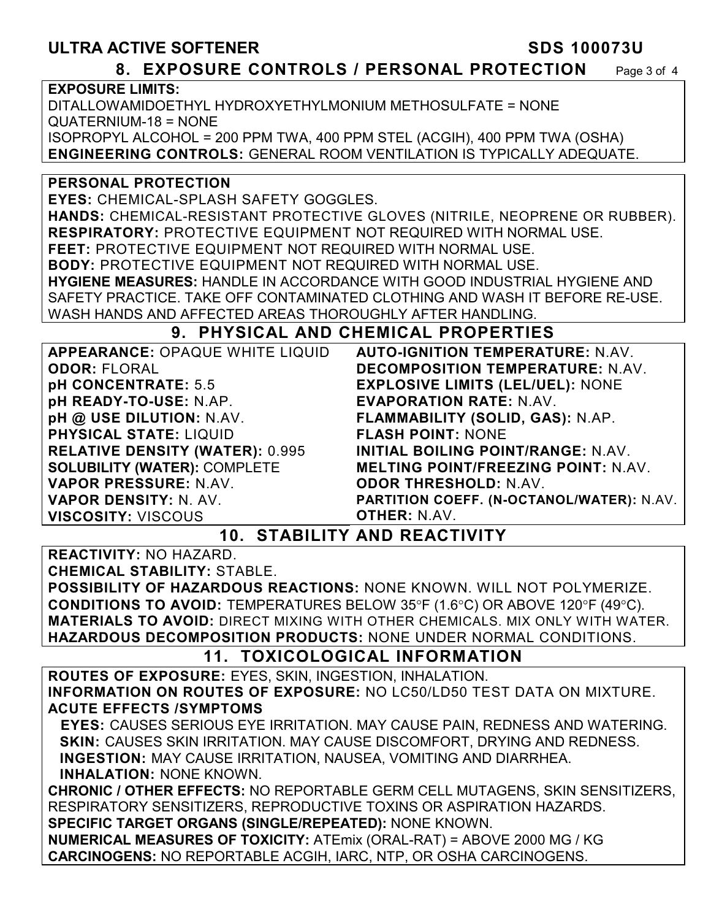### **ULTRA ACTIVE SOFTENER SOMETHER SDS 100073U 8. EXPOSURE CONTROLS / PERSONAL PROTECTION** Page 3 of 4 **EXPOSURE LIMITS:** DITALLOWAMIDOETHYL HYDROXYETHYLMONIUM METHOSULFATE = NONE QUATERNIUM-18 = NONE ISOPROPYL ALCOHOL = 200 PPM TWA, 400 PPM STEL (ACGIH), 400 PPM TWA (OSHA) **ENGINEERING CONTROLS:** GENERAL ROOM VENTILATION IS TYPICALLY ADEQUATE. **PERSONAL PROTECTION EYES:** CHEMICAL-SPLASH SAFETY GOGGLES. **HANDS:** CHEMICAL-RESISTANT PROTECTIVE GLOVES (NITRILE, NEOPRENE OR RUBBER). **RESPIRATORY:** PROTECTIVE EQUIPMENT NOT REQUIRED WITH NORMAL USE. **FEET:** PROTECTIVE EQUIPMENT NOT REQUIRED WITH NORMAL USE. **BODY:** PROTECTIVE EQUIPMENT NOT REQUIRED WITH NORMAL USE. **HYGIENE MEASURES:** HANDLE IN ACCORDANCE WITH GOOD INDUSTRIAL HYGIENE AND SAFETY PRACTICE. TAKE OFF CONTAMINATED CLOTHING AND WASH IT BEFORE RE-USE. WASH HANDS AND AFFECTED AREAS THOROUGHLY AFTER HANDLING. **9. PHYSICAL AND CHEMICAL PROPERTIES APPEARANCE:** OPAQUE WHITE LIQUID **ODOR:** FLORAL **pH CONCENTRATE:** 5.5 **pH READY-TO-USE:** N.AP. **pH @ USE DILUTION:** N.AV. **PHYSICAL STATE:** LIQUID **RELATIVE DENSITY (WATER):** 0.995 **SOLUBILITY (WATER):** COMPLETE **VAPOR PRESSURE:** N.AV. **AUTO-IGNITION TEMPERATURE:** N.AV. **DECOMPOSITION TEMPERATURE:** N.AV. **EXPLOSIVE LIMITS (LEL/UEL):** NONE **EVAPORATION RATE:** N.AV. **FLAMMABILITY (SOLID, GAS):** N.AP. **FLASH POINT:** NONE **INITIAL BOILING POINT/RANGE:** N.AV. **MELTING POINT/FREEZING POINT:** N.AV. **ODOR THRESHOLD:** N.AV.

**PARTITION COEFF. (N-OCTANOL/WATER):** N.AV. **OTHER:** N.AV.

### **10. STABILITY AND REACTIVITY**

**REACTIVITY:** NO HAZARD.

**VAPOR DENSITY:** N. AV. **VISCOSITY:** VISCOUS

**CHEMICAL STABILITY:** STABLE.

**POSSIBILITY OF HAZARDOUS REACTIONS:** NONE KNOWN. WILL NOT POLYMERIZE. **CONDITIONS TO AVOID:** TEMPERATURES BELOW 35°F (1.6°C) OR ABOVE 120°F (49°C). **MATERIALS TO AVOID:** DIRECT MIXING WITH OTHER CHEMICALS. MIX ONLY WITH WATER. **HAZARDOUS DECOMPOSITION PRODUCTS:** NONE UNDER NORMAL CONDITIONS.

## **11. TOXICOLOGICAL INFORMATION**

**ROUTES OF EXPOSURE:** EYES, SKIN, INGESTION, INHALATION. **INFORMATION ON ROUTES OF EXPOSURE:** NO LC50/LD50 TEST DATA ON MIXTURE. **ACUTE EFFECTS /SYMPTOMS** 

 **EYES:** CAUSES SERIOUS EYE IRRITATION. MAY CAUSE PAIN, REDNESS AND WATERING. **SKIN:** CAUSES SKIN IRRITATION. MAY CAUSE DISCOMFORT, DRYING AND REDNESS. **INGESTION:** MAY CAUSE IRRITATION, NAUSEA, VOMITING AND DIARRHEA. **INHALATION:** NONE KNOWN.

**CHRONIC / OTHER EFFECTS:** NO REPORTABLE GERM CELL MUTAGENS, SKIN SENSITIZERS, RESPIRATORY SENSITIZERS, REPRODUCTIVE TOXINS OR ASPIRATION HAZARDS. **SPECIFIC TARGET ORGANS (SINGLE/REPEATED):** NONE KNOWN.

**NUMERICAL MEASURES OF TOXICITY:** ATEmix (ORAL-RAT) = ABOVE 2000 MG / KG **CARCINOGENS:** NO REPORTABLE ACGIH, IARC, NTP, OR OSHA CARCINOGENS.